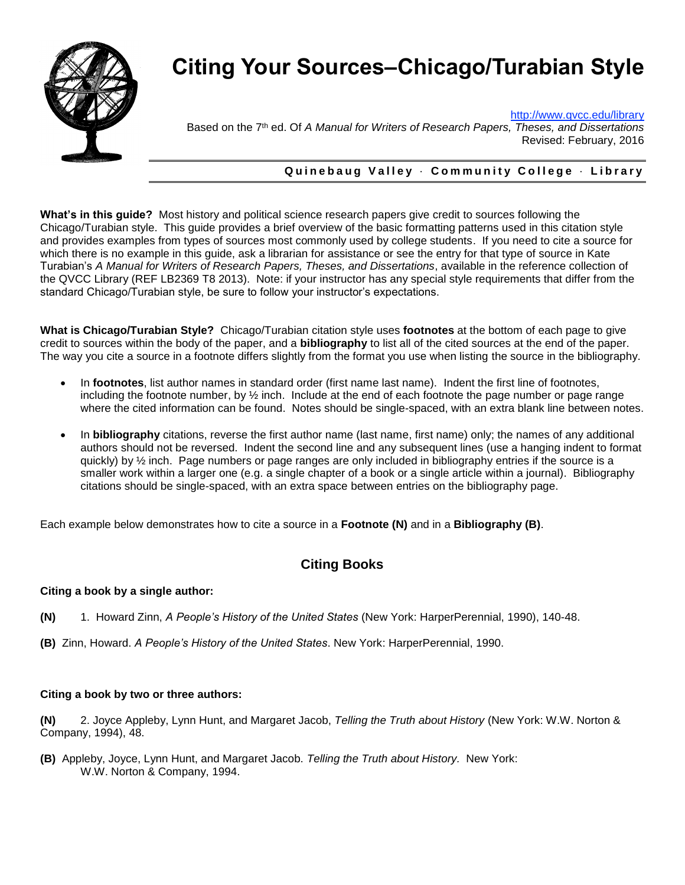

# **Citing Your Sources–Chicago/Turabian Style**

<http://www.qvcc.edu/library>

Based on the 7th ed. Of *A Manual for Writers of Research Papers, Theses, and Dissertations* Revised: February, 2016

#### **Q u i n e b a u g V a l l e y** · **C o m m u n i t y C o l l e g e** · **L i b r a r y**

**What's in this guide?** Most history and political science research papers give credit to sources following the Chicago/Turabian style. This guide provides a brief overview of the basic formatting patterns used in this citation style and provides examples from types of sources most commonly used by college students. If you need to cite a source for which there is no example in this guide, ask a librarian for assistance or see the entry for that type of source in Kate Turabian's *A Manual for Writers of Research Papers, Theses, and Dissertations*, available in the reference collection of the QVCC Library (REF LB2369 T8 2013). Note: if your instructor has any special style requirements that differ from the standard Chicago/Turabian style, be sure to follow your instructor's expectations.

**What is Chicago/Turabian Style?** Chicago/Turabian citation style uses **footnotes** at the bottom of each page to give credit to sources within the body of the paper, and a **bibliography** to list all of the cited sources at the end of the paper. The way you cite a source in a footnote differs slightly from the format you use when listing the source in the bibliography.

- In **footnotes**, list author names in standard order (first name last name). Indent the first line of footnotes, including the footnote number, by  $\frac{1}{2}$  inch. Include at the end of each footnote the page number or page range where the cited information can be found. Notes should be single-spaced, with an extra blank line between notes.
- In **bibliography** citations, reverse the first author name (last name, first name) only; the names of any additional authors should not be reversed. Indent the second line and any subsequent lines (use a hanging indent to format quickly) by ½ inch. Page numbers or page ranges are only included in bibliography entries if the source is a smaller work within a larger one (e.g. a single chapter of a book or a single article within a journal). Bibliography citations should be single-spaced, with an extra space between entries on the bibliography page.

Each example below demonstrates how to cite a source in a **Footnote (N)** and in a **Bibliography (B)**.

## **Citing Books**

#### **Citing a book by a single author:**

- **(N)** 1. Howard Zinn, *A People's History of the United States* (New York: HarperPerennial, 1990), 140-48.
- **(B)** Zinn, Howard. *A People's History of the United States*. New York: HarperPerennial, 1990.

#### **Citing a book by two or three authors:**

**(N)** 2. Joyce Appleby, Lynn Hunt, and Margaret Jacob, *Telling the Truth about History* (New York: W.W. Norton & Company, 1994), 48.

**(B)** Appleby, Joyce, Lynn Hunt, and Margaret Jacob. *Telling the Truth about History.* New York: W.W. Norton & Company, 1994.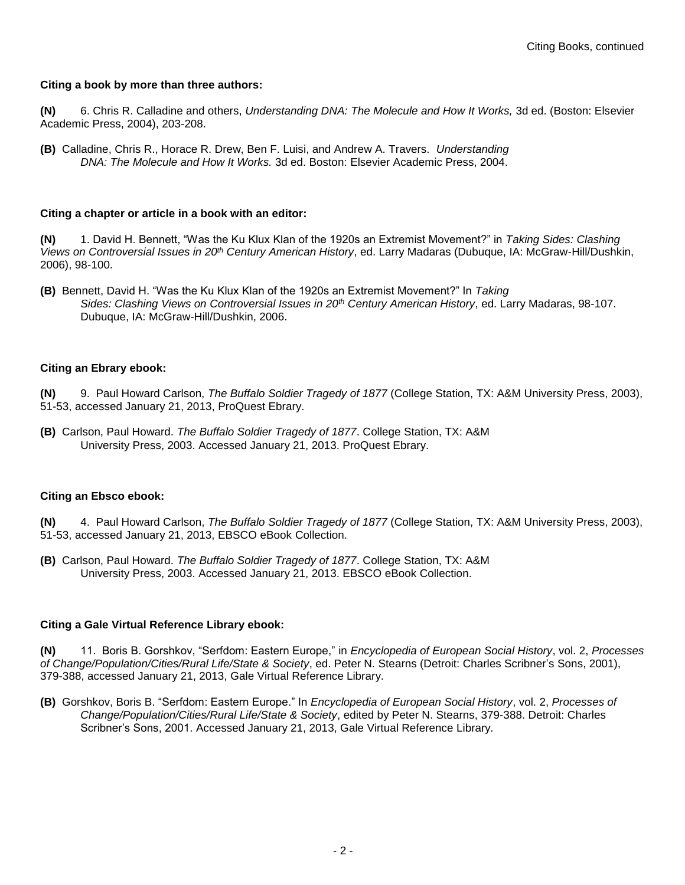#### **Citing a book by more than three authors:**

**(N)** 6. Chris R. Calladine and others, *Understanding DNA: The Molecule and How It Works,* 3d ed. (Boston: Elsevier Academic Press, 2004), 203-208.

**(B)** Calladine, Chris R., Horace R. Drew, Ben F. Luisi, and Andrew A. Travers. *Understanding DNA: The Molecule and How It Works.* 3d ed. Boston: Elsevier Academic Press, 2004.

#### **Citing a chapter or article in a book with an editor:**

**(N)** 1. David H. Bennett, "Was the Ku Klux Klan of the 1920s an Extremist Movement?" in *Taking Sides: Clashing Views on Controversial Issues in 20th Century American History*, ed. Larry Madaras (Dubuque, IA: McGraw-Hill/Dushkin, 2006), 98-100.

**(B)** Bennett, David H. "Was the Ku Klux Klan of the 1920s an Extremist Movement?" In *Taking Sides: Clashing Views on Controversial Issues in 20th Century American History*, ed. Larry Madaras, 98-107. Dubuque, IA: McGraw-Hill/Dushkin, 2006.

#### **Citing an Ebrary ebook:**

**(N)** 9. Paul Howard Carlson, *The Buffalo Soldier Tragedy of 1877* (College Station, TX: A&M University Press, 2003), 51-53, accessed January 21, 2013, ProQuest Ebrary.

**(B)** Carlson, Paul Howard. *The Buffalo Soldier Tragedy of 1877*. College Station, TX: A&M University Press, 2003. Accessed January 21, 2013. ProQuest Ebrary.

#### **Citing an Ebsco ebook:**

**(N)** 4. Paul Howard Carlson, *The Buffalo Soldier Tragedy of 1877* (College Station, TX: A&M University Press, 2003), 51-53, accessed January 21, 2013, EBSCO eBook Collection.

**(B)** Carlson, Paul Howard. *The Buffalo Soldier Tragedy of 1877*. College Station, TX: A&M University Press, 2003. Accessed January 21, 2013. EBSCO eBook Collection.

#### **Citing a Gale Virtual Reference Library ebook:**

**(N)** 11. Boris B. Gorshkov, "Serfdom: Eastern Europe," in *Encyclopedia of European Social History*, vol. 2, *Processes of Change/Population/Cities/Rural Life/State & Society*, ed. Peter N. Stearns (Detroit: Charles Scribner's Sons, 2001), 379-388, accessed January 21, 2013, Gale Virtual Reference Library.

**(B)** Gorshkov, Boris B. "Serfdom: Eastern Europe." In *Encyclopedia of European Social History*, vol. 2, *Processes of Change/Population/Cities/Rural Life/State & Society*, edited by Peter N. Stearns, 379-388. Detroit: Charles Scribner's Sons, 2001. Accessed January 21, 2013, Gale Virtual Reference Library.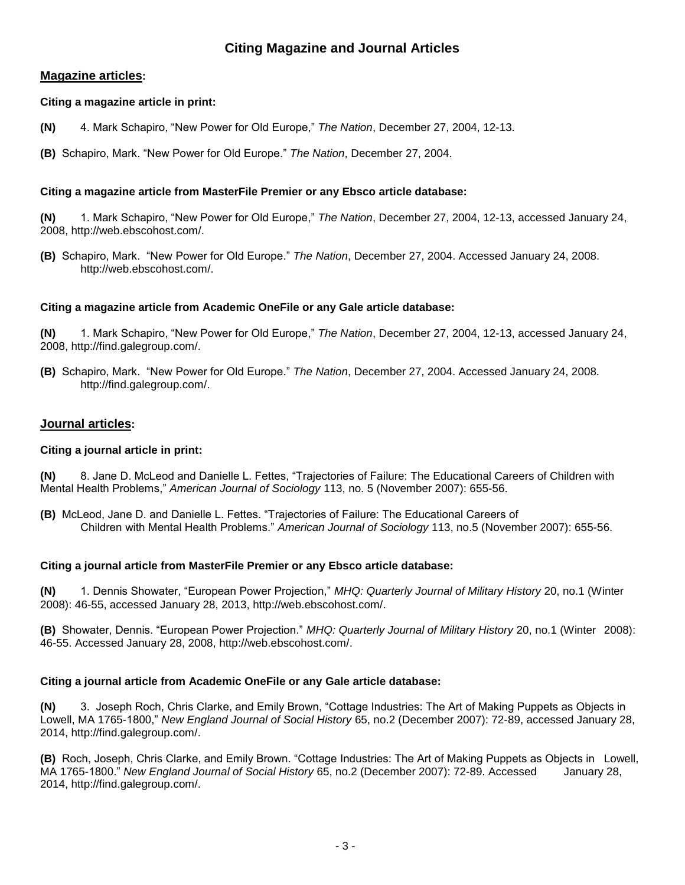## **Citing Magazine and Journal Articles**

#### **Magazine articles:**

#### **Citing a magazine article in print:**

- **(N)** 4. Mark Schapiro, "New Power for Old Europe," *The Nation*, December 27, 2004, 12-13.
- **(B)** Schapiro, Mark. "New Power for Old Europe." *The Nation*, December 27, 2004.

#### **Citing a magazine article from MasterFile Premier or any Ebsco article database:**

**(N)** 1. Mark Schapiro, "New Power for Old Europe," *The Nation*, December 27, 2004, 12-13, accessed January 24, 2008, http://web.ebscohost.com/.

**(B)** Schapiro, Mark. "New Power for Old Europe." *The Nation*, December 27, 2004. Accessed January 24, 2008. http://web.ebscohost.com/.

#### **Citing a magazine article from Academic OneFile or any Gale article database:**

**(N)** 1. Mark Schapiro, "New Power for Old Europe," *The Nation*, December 27, 2004, 12-13, accessed January 24, 2008, http://find.galegroup.com/.

**(B)** Schapiro, Mark. "New Power for Old Europe." *The Nation*, December 27, 2004. Accessed January 24, 2008. http://find.galegroup.com/.

#### **Journal articles:**

#### **Citing a journal article in print:**

**(N)** 8. Jane D. McLeod and Danielle L. Fettes, "Trajectories of Failure: The Educational Careers of Children with Mental Health Problems," *American Journal of Sociology* 113, no. 5 (November 2007): 655-56.

**(B)** McLeod, Jane D. and Danielle L. Fettes. "Trajectories of Failure: The Educational Careers of Children with Mental Health Problems." *American Journal of Sociology* 113, no.5 (November 2007): 655-56.

#### **Citing a journal article from MasterFile Premier or any Ebsco article database:**

**(N)** 1. Dennis Showater, "European Power Projection," *MHQ: Quarterly Journal of Military History* 20, no.1 (Winter 2008): 46-55, accessed January 28, 2013, http://web.ebscohost.com/.

**(B)** Showater, Dennis. "European Power Projection." *MHQ: Quarterly Journal of Military History* 20, no.1 (Winter 2008): 46-55. Accessed January 28, 2008, http://web.ebscohost.com/.

#### **Citing a journal article from Academic OneFile or any Gale article database:**

**(N)** 3. Joseph Roch, Chris Clarke, and Emily Brown, "Cottage Industries: The Art of Making Puppets as Objects in Lowell, MA 1765-1800," *New England Journal of Social History* 65, no.2 (December 2007): 72-89, accessed January 28, 2014, http://find.galegroup.com/.

**(B)** Roch, Joseph, Chris Clarke, and Emily Brown. "Cottage Industries: The Art of Making Puppets as Objects in Lowell, MA 1765-1800." *New England Journal of Social History* 65, no.2 (December 2007): 72-89. Accessed January 28, 2014, http://find.galegroup.com/.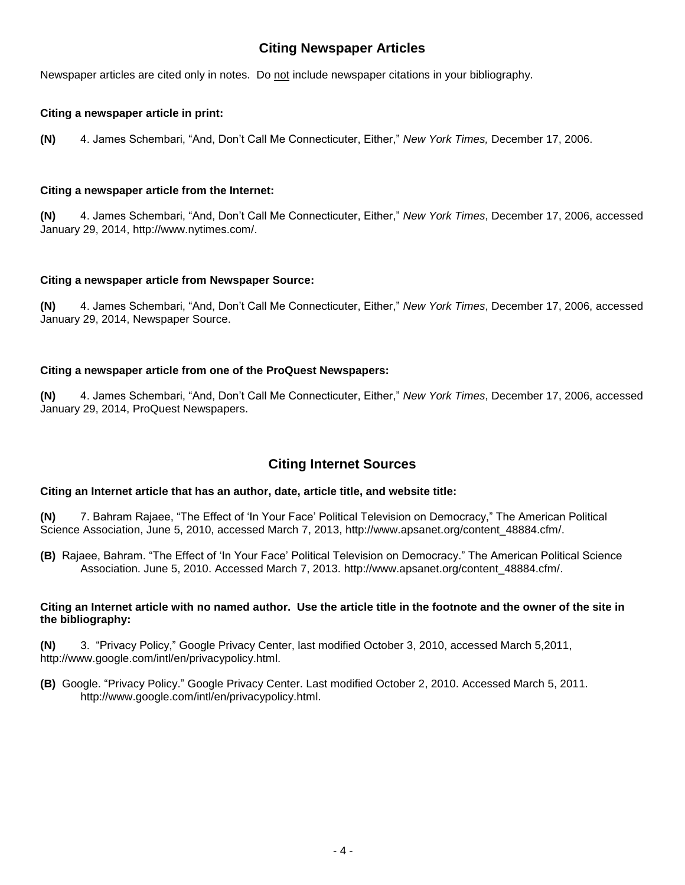## **Citing Newspaper Articles**

Newspaper articles are cited only in notes. Do not include newspaper citations in your bibliography.

#### **Citing a newspaper article in print:**

**(N)** 4. James Schembari, "And, Don't Call Me Connecticuter, Either," *New York Times,* December 17, 2006.

#### **Citing a newspaper article from the Internet:**

**(N)** 4. James Schembari, "And, Don't Call Me Connecticuter, Either," *New York Times*, December 17, 2006, accessed January 29, 2014, http://www.nytimes.com/.

#### **Citing a newspaper article from Newspaper Source:**

**(N)** 4. James Schembari, "And, Don't Call Me Connecticuter, Either," *New York Times*, December 17, 2006, accessed January 29, 2014, Newspaper Source.

#### **Citing a newspaper article from one of the ProQuest Newspapers:**

**(N)** 4. James Schembari, "And, Don't Call Me Connecticuter, Either," *New York Times*, December 17, 2006, accessed January 29, 2014, ProQuest Newspapers.

### **Citing Internet Sources**

#### **Citing an Internet article that has an author, date, article title, and website title:**

**(N)** 7. Bahram Rajaee, "The Effect of 'In Your Face' Political Television on Democracy," The American Political Science Association, June 5, 2010, accessed March 7, 2013, http://www.apsanet.org/content\_48884.cfm/.

**(B)** Rajaee, Bahram. "The Effect of 'In Your Face' Political Television on Democracy." The American Political Science Association. June 5, 2010. Accessed March 7, 2013. http://www.apsanet.org/content\_48884.cfm/.

#### **Citing an Internet article with no named author. Use the article title in the footnote and the owner of the site in the bibliography:**

**(N)** 3. "Privacy Policy," Google Privacy Center, last modified October 3, 2010, accessed March 5,2011, http://www.google.com/intl/en/privacypolicy.html.

**(B)** Google. "Privacy Policy." Google Privacy Center. Last modified October 2, 2010. Accessed March 5, 2011. http://www.google.com/intl/en/privacypolicy.html.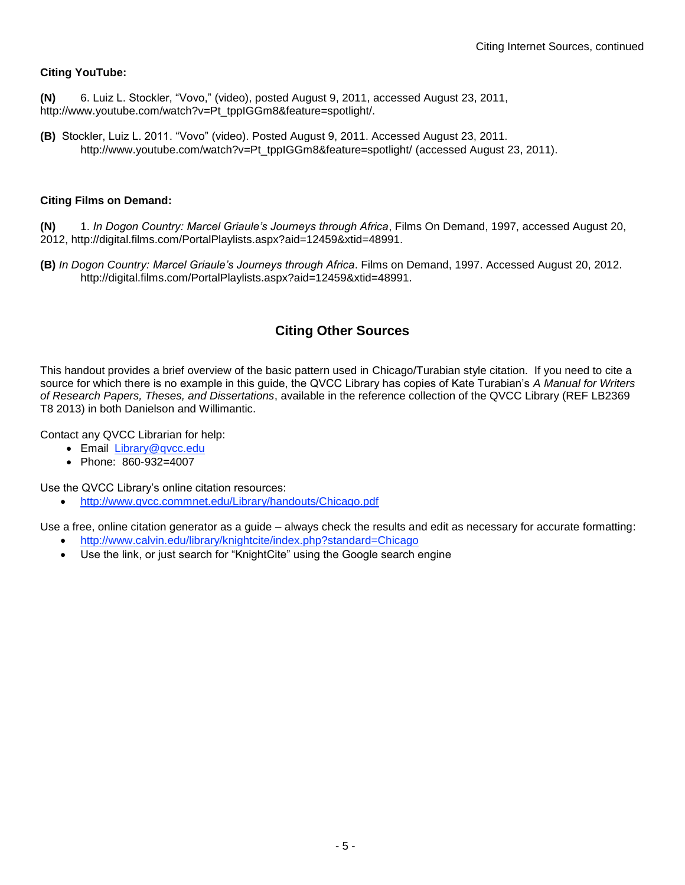#### **Citing YouTube:**

- **(N)** 6. Luiz L. Stockler, "Vovo," (video), posted August 9, 2011, accessed August 23, 2011, http://www.youtube.com/watch?v=Pt\_tppIGGm8&feature=spotlight/.
- **(B)** Stockler, Luiz L. 2011. "Vovo" (video). Posted August 9, 2011. Accessed August 23, 2011. http://www.youtube.com/watch?v=Pt\_tppIGGm8&feature=spotlight/ (accessed August 23, 2011).

#### **Citing Films on Demand:**

**(N)** 1. *In Dogon Country: Marcel Griaule's Journeys through Africa*, Films On Demand, 1997, accessed August 20, 2012, http://digital.films.com/PortalPlaylists.aspx?aid=12459&xtid=48991.

**(B)** *In Dogon Country: Marcel Griaule's Journeys through Africa*. Films on Demand, 1997. Accessed August 20, 2012. http://digital.films.com/PortalPlaylists.aspx?aid=12459&xtid=48991.

## **Citing Other Sources**

This handout provides a brief overview of the basic pattern used in Chicago/Turabian style citation. If you need to cite a source for which there is no example in this guide, the QVCC Library has copies of Kate Turabian's *A Manual for Writers of Research Papers, Theses, and Dissertations*, available in the reference collection of the QVCC Library (REF LB2369 T8 2013) in both Danielson and Willimantic.

Contact any QVCC Librarian for help:

- Email [Library@qvcc.edu](mailto:Library@qvcc.edu)
- Phone: 860-932=4007

Use the QVCC Library's online citation resources:

<http://www.qvcc.commnet.edu/Library/handouts/Chicago.pdf>

Use a free, online citation generator as a guide – always check the results and edit as necessary for accurate formatting:

- <http://www.calvin.edu/library/knightcite/index.php?standard=Chicago>
- Use the link, or just search for "KnightCite" using the Google search engine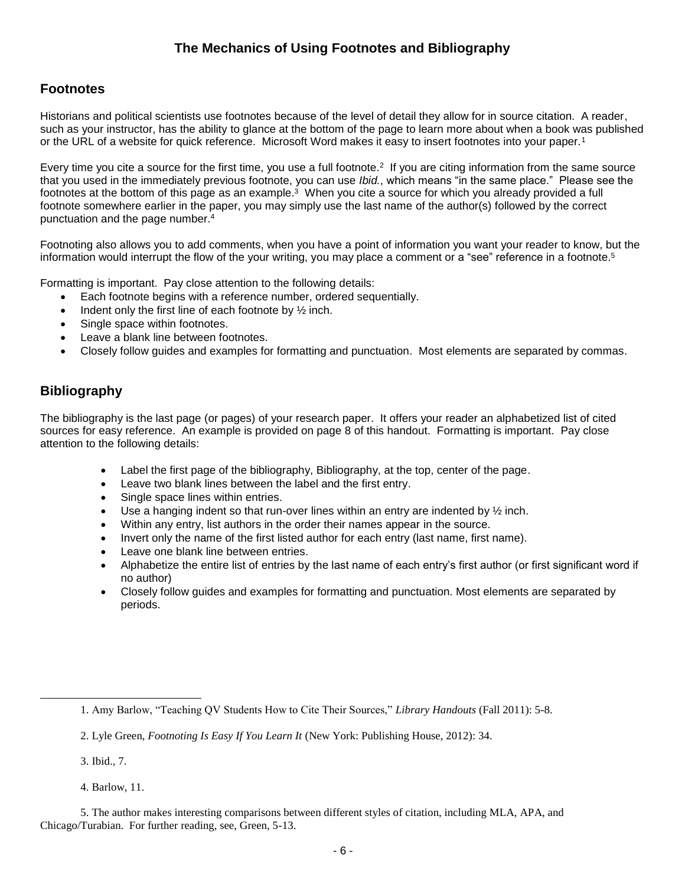## **The Mechanics of Using Footnotes and Bibliography**

## **Footnotes**

Historians and political scientists use footnotes because of the level of detail they allow for in source citation. A reader, such as your instructor, has the ability to glance at the bottom of the page to learn more about when a book was published or the URL of a website for quick reference. Microsoft Word makes it easy to insert footnotes into your paper.<sup>1</sup>

Every time you cite a source for the first time, you use a full footnote.<sup>2</sup> If you are citing information from the same source that you used in the immediately previous footnote, you can use *Ibid.*, which means "in the same place." Please see the footnotes at the bottom of this page as an example. $^3$  When you cite a source for which you already provided a full footnote somewhere earlier in the paper, you may simply use the last name of the author(s) followed by the correct punctuation and the page number.<sup>4</sup>

Footnoting also allows you to add comments, when you have a point of information you want your reader to know, but the information would interrupt the flow of the your writing, you may place a comment or a "see" reference in a footnote.<sup>5</sup>

Formatting is important. Pay close attention to the following details:

- Each footnote begins with a reference number, ordered sequentially.
- Indent only the first line of each footnote by ½ inch.
- Single space within footnotes.
- Leave a blank line between footnotes.
- Closely follow guides and examples for formatting and punctuation. Most elements are separated by commas.

## **Bibliography**

The bibliography is the last page (or pages) of your research paper. It offers your reader an alphabetized list of cited sources for easy reference. An example is provided on page 8 of this handout. Formatting is important. Pay close attention to the following details:

- Label the first page of the bibliography, Bibliography, at the top, center of the page.
- Leave two blank lines between the label and the first entry.
- Single space lines within entries.
- Use a hanging indent so that run-over lines within an entry are indented by  $\frac{1}{2}$  inch.
- Within any entry, list authors in the order their names appear in the source.
- Invert only the name of the first listed author for each entry (last name, first name).
- Leave one blank line between entries.
- Alphabetize the entire list of entries by the last name of each entry's first author (or first significant word if no author)
- Closely follow guides and examples for formatting and punctuation. Most elements are separated by periods.

3. Ibid., 7.

l

4. Barlow, 11.

<sup>1.</sup> Amy Barlow, "Teaching QV Students How to Cite Their Sources," *Library Handouts* (Fall 2011): 5-8.

<sup>2.</sup> Lyle Green, *Footnoting Is Easy If You Learn It* (New York: Publishing House, 2012): 34.

<sup>5.</sup> The author makes interesting comparisons between different styles of citation, including MLA, APA, and Chicago/Turabian. For further reading, see, Green, 5-13.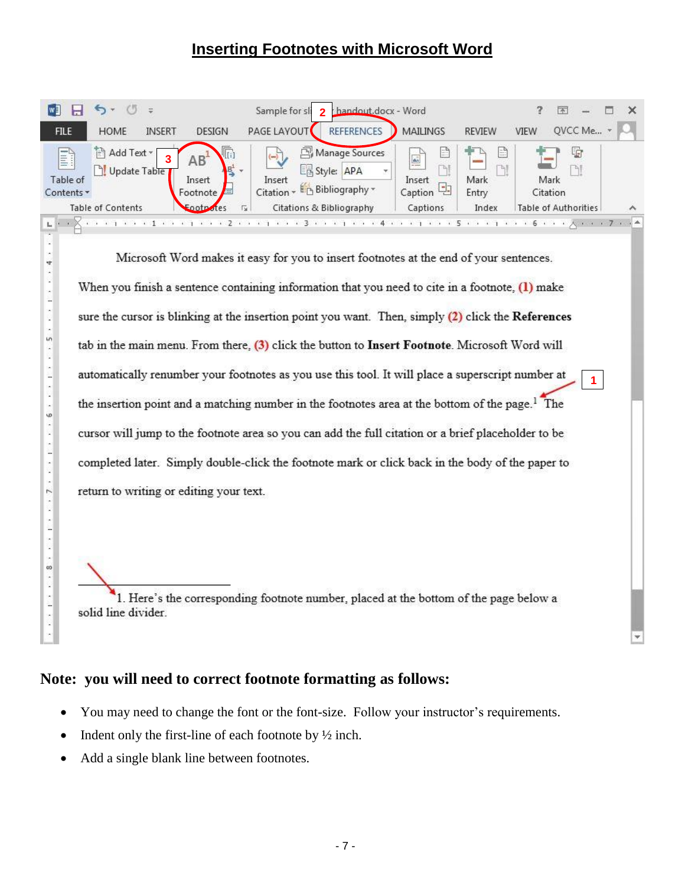# **Inserting Footnotes with Microsoft Word**

|                                       |                                         |                                                        | handout.docx - Word<br>Sample for sli                                                                                          |                                                        |                          | $\overline{\phantom{a}}$    |               |
|---------------------------------------|-----------------------------------------|--------------------------------------------------------|--------------------------------------------------------------------------------------------------------------------------------|--------------------------------------------------------|--------------------------|-----------------------------|---------------|
| <b>FILE</b>                           | <b>INSERT</b><br><b>HOME</b>            | DESIGN                                                 | <b>REFERENCES</b><br>PAGE LAYOUT                                                                                               | MAILINGS                                               | <b>REVIEW</b>            | QVCC Me<br>VIEW             |               |
| <b>Till</b><br>Table of<br>Contents * | ि Add Text <sub>*</sub><br>Update Table | f.<br>AB <sup>-</sup><br>$B^1$ +<br>Insert<br>Footnote | Manage Sources<br>$\left(\frac{1}{2}\right)$<br>国 Style:<br>APA<br>W.<br>Insert<br>E <sub>P</sub> Bibliography *<br>Citation * | E<br>$\mathbf{a}_2$<br>124.5<br>Insert<br>Caption<br>군 | e<br>ЪJ<br>Mark<br>Entry | G<br>Mark<br>Citation       |               |
|                                       | <b>Table of Contents</b>                | Footpotes                                              | Citations & Bibliography<br>Γs.                                                                                                | Captions                                               | Index                    | <b>Table of Authorities</b> | ᄉ             |
|                                       |                                         |                                                        |                                                                                                                                |                                                        |                          |                             | $\mathcal{L}$ |

Microsoft Word makes it easy for you to insert footnotes at the end of your sentences. When you finish a sentence containing information that you need to cite in a footnote, (1) make sure the cursor is blinking at the insertion point you want. Then, simply (2) click the References tab in the main menu. From there, (3) click the button to Insert Footnote. Microsoft Word will automatically renumber your footnotes as you use this tool. It will place a superscript number at **1**the insertion point and a matching number in the footnotes area at the bottom of the page.<sup>1</sup> The cursor will jump to the footnote area so you can add the full citation or a brief placeholder to be completed later. Simply double-click the footnote mark or click back in the body of the paper to return to writing or editing your text.

1. Here's the corresponding footnote number, placed at the bottom of the page below a solid line divider.

## **Note: you will need to correct footnote formatting as follows:**

- You may need to change the font or the font-size. Follow your instructor's requirements.
- Indent only the first-line of each footnote by ½ inch.
- Add a single blank line between footnotes.

L. Q ×

 $\frac{1}{2}$ 

 $100 - 0.01$ 

Î.

s. in,

 $\mathbf{1} \rightarrow \mathbf{1} \rightarrow \mathbf{1}$ 

İ

 $6, 7$  $\ddot{\phantom{0}}$ 

 $\mathcal{L} \rightarrow \mathcal{L} \rightarrow \mathcal{L}$ 

 $\cdots$  8  $\cdots$  8  $\cdots$  1  $\cdots$  1  $\cdots$  7  $\cdots$ 

 $\mathcal{L} \rightarrow \mathcal{L} \rightarrow \mathcal{L}$